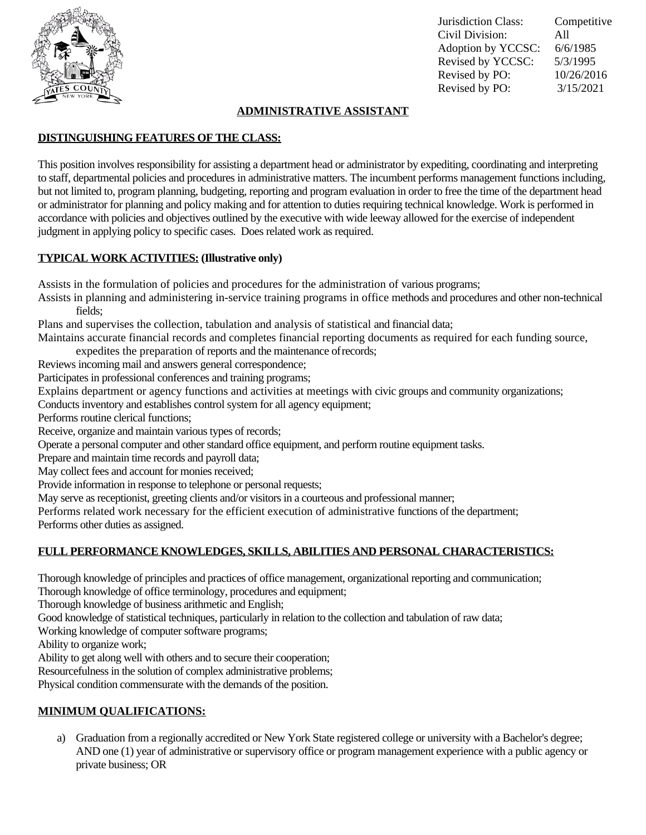

Jurisdiction Class: Competitive Civil Division: All Adoption by YCCSC: 6/6/1985 Revised by YCCSC: 5/3/1995 Revised by PO: 10/26/2016 Revised by PO: 3/15/2021

#### **ADMINISTRATIVE ASSISTANT**

## **DISTINGUISHING FEATURES OF THE CLASS:**

This position involves responsibility for assisting a department head or administrator by expediting, coordinating and interpreting to staff, departmental policies and procedures in administrative matters. The incumbent performs management functions including, but not limited to, program planning, budgeting, reporting and program evaluation in order to free the time of the department head or administrator for planning and policy making and for attention to duties requiring technical knowledge. Work is performed in accordance with policies and objectives outlined by the executive with wide leeway allowed for the exercise of independent judgment in applying policy to specific cases. Does related work as required.

# **TYPICAL WORK ACTIVITIES: (Illustrative only)**

Assists in the formulation of policies and procedures for the administration of various programs;

Assists in planning and administering in-service training programs in office methods and procedures and other non-technical fields;

Plans and supervises the collection, tabulation and analysis of statistical and financial data;

Maintains accurate financial records and completes financial reporting documents as required for each funding source, expedites the preparation of reports and the maintenance ofrecords;

Reviews incoming mail and answers general correspondence;

Participates in professional conferences and training programs;

Explains department or agency functions and activities at meetings with civic groups and community organizations;

Conducts inventory and establishes control system for all agency equipment;

Performs routine clerical functions;

Receive, organize and maintain various types of records;

Operate a personal computer and other standard office equipment, and perform routine equipment tasks.

Prepare and maintain time records and payroll data;

May collect fees and account for monies received:

Provide information in response to telephone or personal requests;

May serve as receptionist, greeting clients and/or visitors in a courteous and professional manner;

Performs related work necessary for the efficient execution of administrative functions of the department; Performs other duties as assigned.

# **FULL PERFORMANCE KNOWLEDGES, SKILLS, ABILITIES AND PERSONAL CHARACTERISTICS:**

Thorough knowledge of principles and practices of office management, organizational reporting and communication;

Thorough knowledge of office terminology, procedures and equipment;

Thorough knowledge of business arithmetic and English;

Good knowledge of statistical techniques, particularly in relation to the collection and tabulation of raw data;

Working knowledge of computer software programs;

Ability to organize work;

Ability to get along well with others and to secure their cooperation;

Resourcefulness in the solution of complex administrative problems;

Physical condition commensurate with the demands of the position.

### **MINIMUM QUALIFICATIONS:**

a) Graduation from a regionally accredited or New York State registered college or university with a Bachelor's degree; AND one (1) year of administrative or supervisory office or program management experience with a public agency or private business; OR